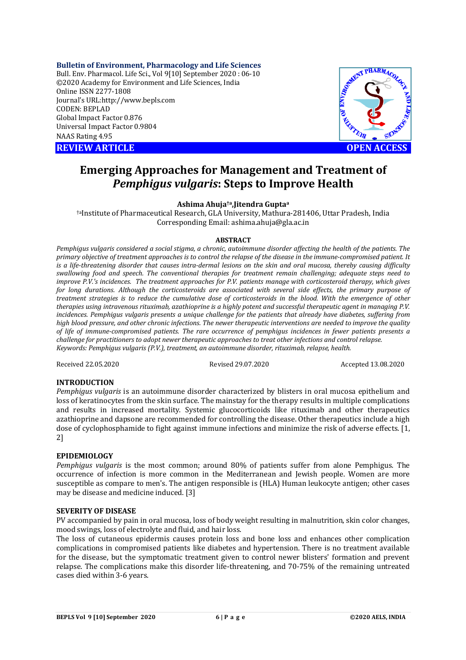**Bulletin of Environment, Pharmacology and Life Sciences** Bull. Env. Pharmacol. Life Sci., Vol 9[10] September 2020 : 06-10 ©2020 Academy for Environment and Life Sciences, India Online ISSN 2277-1808 Journal's URL:<http://www.bepls.com> CODEN: BEPLAD Global Impact Factor 0.876 Universal Impact Factor 0.9804 NAAS Rating 4.95

**REVIEW ARTICLE CONSUMING A REVIEW ARTICLE** 



# **Emerging Approaches for Management and Treatment of**  *Pemphigus vulgaris***: Steps to Improve Health**

#### **Ashima Ahuja†a,Jitendra Gupta<sup>a</sup>**

†aInstitute of Pharmaceutical Research, GLA University, Mathura-281406, Uttar Pradesh, India Corresponding Email: [ashima.ahuja@gla.ac.in](mailto:ashima.ahuja@gla.ac.in)

#### **ABSTRACT**

*Pemphigus vulgaris considered a social stigma, a chronic, autoimmune disorder affecting the health of the patients. The primary objective of treatment approaches is to control the relapse of the disease in the immune-compromised patient. It is a life-threatening disorder that causes intra-dermal lesions on the skin and oral mucosa, thereby causing difficulty swallowing food and speech. The conventional therapies for treatment remain challenging; adequate steps need to improve P.V.'s incidences. The treatment approaches for P.V. patients manage with corticosteroid therapy, which gives for long durations. Although the corticosteroids are associated with several side effects, the primary purpose of treatment strategies is to reduce the cumulative dose of corticosteroids in the blood. With the emergence of other therapies using intravenous rituximab, azathioprine is a highly potent and successful therapeutic agent in managing P.V. incidences. Pemphigus vulgaris presents a unique challenge for the patients that already have diabetes, suffering from high blood pressure, and other chronic infections. The newer therapeutic interventions are needed to improve the quality of life of immune-compromised patients. The rare occurrence of pemphigus incidences in fewer patients presents a challenge for practitioners to adopt newer therapeutic approaches to treat other infections and control relapse. Keywords: Pemphigus vulgaris (P.V.), treatment, an autoimmune disorder, rituximab, relapse, health.*

Received 22.05.2020 Revised 29.07.2020 Accepted 13.08.2020

#### **INTRODUCTION**

*Pemphigus vulgaris* is an autoimmune disorder characterized by blisters in oral mucosa epithelium and loss of keratinocytes from the skin surface. The mainstay for the therapy results in multiple complications and results in increased mortality. Systemic glucocorticoids like rituximab and other therapeutics azathioprine and dapsone are recommended for controlling the disease. Other therapeutics include a high dose of cyclophosphamide to fight against immune infections and minimize the risk of adverse effects. [1, 2]

#### **EPIDEMIOLOGY**

*Pemphigus vulgaris* is the most common; around 80% of patients suffer from alone Pemphigus. The occurrence of infection is more common in the Mediterranean and Jewish people. Women are more susceptible as compare to men's. The antigen responsible is (HLA) Human leukocyte antigen; other cases may be disease and medicine induced. [3]

### **SEVERITY OF DISEASE**

PV accompanied by pain in oral mucosa, loss of body weight resulting in malnutrition, skin color changes, mood swings, loss of electrolyte and fluid, and hair loss.

The loss of cutaneous epidermis causes protein loss and bone loss and enhances other complication complications in compromised patients like diabetes and hypertension. There is no treatment available for the disease, but the symptomatic treatment given to control newer blisters' formation and prevent relapse. The complications make this disorder life-threatening, and 70-75% of the remaining untreated cases died within 3-6 years.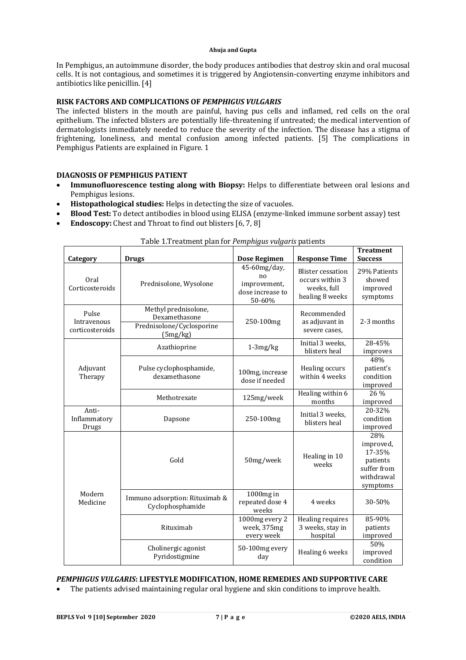#### **Ahuja and Gupta**

In Pemphigus, an autoimmune disorder, the body produces antibodies that destroy skin and oral mucosal cells. It is not contagious, and sometimes it is triggered by Angiotensin-converting enzyme inhibitors and antibiotics like penicillin. [4]

## **RISK FACTORS AND COMPLICATIONS OF** *PEMPHIGUS VULGARIS*

The infected blisters in the mouth are painful, having pus cells and inflamed, red cells on the oral epithelium. The infected blisters are potentially life-threatening if untreated; the medical intervention of dermatologists immediately needed to reduce the severity of the infection. The disease has a stigma of frightening, loneliness, and mental confusion among infected patients. [5] The complications in Pemphigus Patients are explained in Figure. 1

#### **DIAGNOSIS OF PEMPHIGUS PATIENT**

- **Immunofluorescence testing along with Biopsy:** Helps to differentiate between oral lesions and Pemphigus lesions.
- **Histopathological studies:** Helps in detecting the size of vacuoles.
- **Blood Test:** To detect antibodies in blood using ELISA (enzyme-linked immune sorbent assay) test
- **Endoscopy:** Chest and Throat to find out blisters [6, 7, 8]

| Category                                | <b>Drugs</b>                                                                   | Dose Regimen                                                     | <b>Response Time</b>                                                          | <b>Treatment</b><br><b>Success</b>                                              |
|-----------------------------------------|--------------------------------------------------------------------------------|------------------------------------------------------------------|-------------------------------------------------------------------------------|---------------------------------------------------------------------------------|
| Oral<br>Corticosteroids                 | Prednisolone, Wysolone                                                         | 45-60mg/day,<br>no<br>improvement,<br>dose increase to<br>50-60% | <b>Blister cessation</b><br>occurs within 3<br>weeks, full<br>healing 8 weeks | 29% Patients<br>showed<br>improved<br>symptoms                                  |
| Pulse<br>Intravenous<br>corticosteroids | Methyl prednisolone,<br>Dexamethasone<br>Prednisolone/Cyclosporine<br>(5mg/kg) | 250-100mg                                                        | Recommended<br>as adjuvant in<br>severe cases,                                | 2-3 months                                                                      |
| Adjuvant<br>Therapy                     | Azathioprine                                                                   | $1-3mg/kg$                                                       | Initial 3 weeks,<br>blisters heal                                             | 28-45%<br>improves                                                              |
|                                         | Pulse cyclophosphamide,<br>dexamethasone                                       | 100mg, increase<br>dose if needed                                | Healing occurs<br>within 4 weeks                                              | 48%<br>patient's<br>condition<br>improved                                       |
|                                         | Methotrexate                                                                   | 125mg/week                                                       | Healing within 6<br>months                                                    | 26 %<br>improved                                                                |
| Anti-<br>Inflammatory<br>Drugs          | Dapsone                                                                        | 250-100mg                                                        | Initial 3 weeks.<br>blisters heal                                             | 20-32%<br>condition<br>improved                                                 |
| Modern<br>Medicine                      | Gold                                                                           | 50mg/week                                                        | Healing in 10<br>weeks                                                        | 28%<br>improved,<br>17-35%<br>patients<br>suffer from<br>withdrawal<br>symptoms |
|                                         | Immuno adsorption: Rituximab &<br>Cyclophosphamide                             | 1000mg in<br>repeated dose 4<br>weeks                            | 4 weeks                                                                       | 30-50%                                                                          |
|                                         | Rituximab                                                                      | 1000mg every 2<br>week, 375mg<br>every week                      | Healing requires<br>3 weeks, stay in<br>hospital                              | 85-90%<br>patients<br>improved                                                  |
|                                         | Cholinergic agonist<br>Pyridostigmine                                          | 50-100mg every<br>day                                            | Healing 6 weeks                                                               | 50%<br>improved<br>condition                                                    |

| Table 1. Treatment plan for Pemphigus vulgaris patients |  |  |
|---------------------------------------------------------|--|--|
|                                                         |  |  |
|                                                         |  |  |
|                                                         |  |  |

*PEMPHIGUS VULGARIS***: LIFESTYLE MODIFICATION, HOME REMEDIES AND SUPPORTIVE CARE** 

The patients advised maintaining regular oral hygiene and skin conditions to improve health.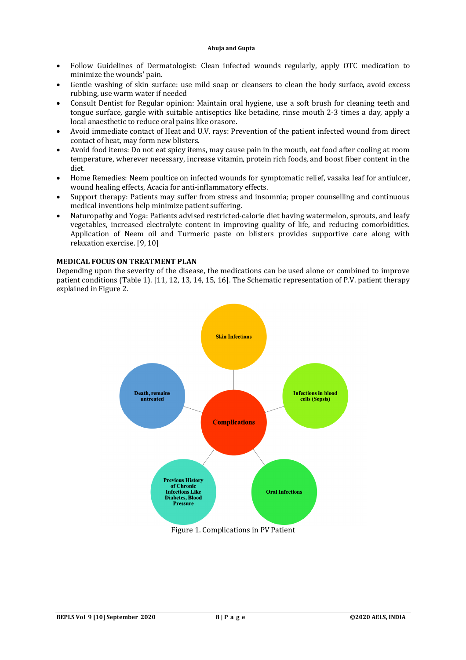#### **Ahuja and Gupta**

- Follow Guidelines of Dermatologist: Clean infected wounds regularly, apply OTC medication to minimize the wounds' pain.
- Gentle washing of skin surface: use mild soap or cleansers to clean the body surface, avoid excess rubbing, use warm water if needed
- Consult Dentist for Regular opinion: Maintain oral hygiene, use a soft brush for cleaning teeth and tongue surface, gargle with suitable antiseptics like betadine, rinse mouth 2-3 times a day, apply a local anaesthetic to reduce oral pains like orasore.
- Avoid immediate contact of Heat and U.V. rays: Prevention of the patient infected wound from direct contact of heat, may form new blisters.
- Avoid food items: Do not eat spicy items, may cause pain in the mouth, eat food after cooling at room temperature, wherever necessary, increase vitamin, protein rich foods, and boost fiber content in the diet.
- Home Remedies: Neem poultice on infected wounds for symptomatic relief, vasaka leaf for antiulcer, wound healing effects, Acacia for anti-inflammatory effects.
- Support therapy: Patients may suffer from stress and insomnia; proper counselling and continuous medical inventions help minimize patient suffering.
- Naturopathy and Yoga: Patients advised restricted-calorie diet having watermelon, sprouts, and leafy vegetables, increased electrolyte content in improving quality of life, and reducing comorbidities. Application of Neem oil and Turmeric paste on blisters provides supportive care along with relaxation exercise. [9, 10]

#### **MEDICAL FOCUS ON TREATMENT PLAN**

Depending upon the severity of the disease, the medications can be used alone or combined to improve patient conditions (Table 1). [11, 12, 13, 14, 15, 16]. The Schematic representation of P.V. patient therapy explained in Figure 2.



Figure 1. Complications in PV Patient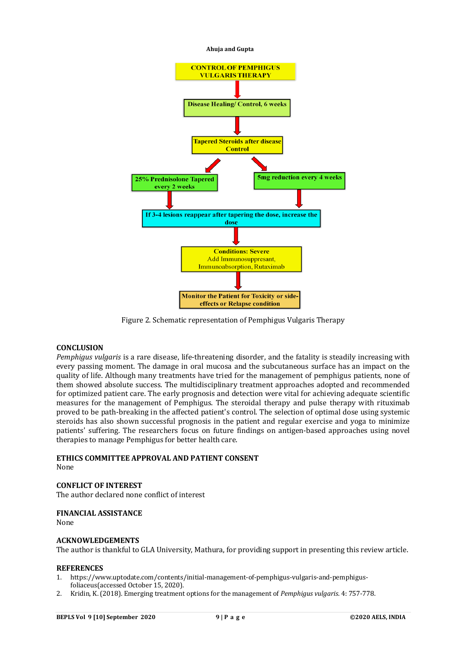

Figure 2. Schematic representation of Pemphigus Vulgaris Therapy

## **CONCLUSION**

*Pemphigus vulgaris* is a rare disease, life-threatening disorder, and the fatality is steadily increasing with every passing moment. The damage in oral mucosa and the subcutaneous surface has an impact on the quality of life. Although many treatments have tried for the management of pemphigus patients, none of them showed absolute success. The multidisciplinary treatment approaches adopted and recommended for optimized patient care. The early prognosis and detection were vital for achieving adequate scientific measures for the management of Pemphigus. The steroidal therapy and pulse therapy with rituximab proved to be path-breaking in the affected patient's control. The selection of optimal dose using systemic steroids has also shown successful prognosis in the patient and regular exercise and yoga to minimize patients' suffering. The researchers focus on future findings on antigen-based approaches using novel therapies to manage Pemphigus for better health care.

## **ETHICS COMMITTEE APPROVAL AND PATIENT CONSENT**

None

## **CONFLICT OF INTEREST**

The author declared none conflict of interest

## **FINANCIAL ASSISTANCE**

None

#### **ACKNOWLEDGEMENTS**

The author is thankful to GLA University, Mathura, for providing support in presenting this review article.

#### **REFERENCES**

- 1. [https://www.uptodate.com/contents/initial-management-of-pemphigus-vulgaris-and-pemphigus](https://www.uptodate.com/contents/initial-management-of-pemphigus-vulgaris-and-pemphigus-)foliaceus(accessed October 15, 2020).
- 2. Kridin, K. (2018). Emerging treatment options for the management of *Pemphigus vulgaris*. 4: 757-778.